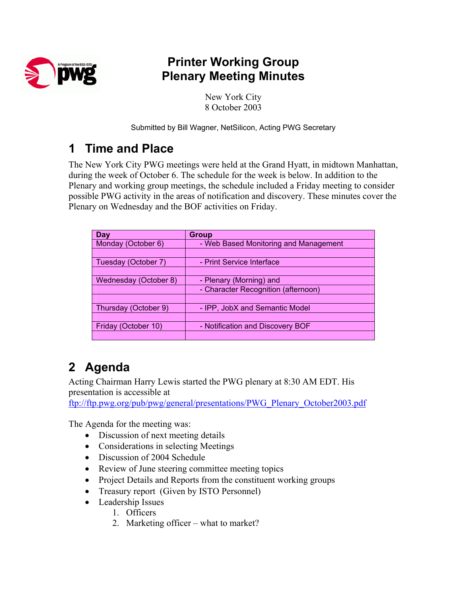

## **Printer Working Group Plenary Meeting Minutes**

New York City 8 October 2003

Submitted by Bill Wagner, NetSilicon, Acting PWG Secretary

## **1 Time and Place**

The New York City PWG meetings were held at the Grand Hyatt, in midtown Manhattan, during the week of October 6. The schedule for the week is below. In addition to the Plenary and working group meetings, the schedule included a Friday meeting to consider possible PWG activity in the areas of notification and discovery. These minutes cover the Plenary on Wednesday and the BOF activities on Friday.

| Day                   | <b>Group</b>                          |  |  |
|-----------------------|---------------------------------------|--|--|
| Monday (October 6)    | - Web Based Monitoring and Management |  |  |
|                       |                                       |  |  |
| Tuesday (October 7)   | - Print Service Interface             |  |  |
|                       |                                       |  |  |
| Wednesday (October 8) | - Plenary (Morning) and               |  |  |
|                       | - Character Recognition (afternoon)   |  |  |
|                       |                                       |  |  |
| Thursday (October 9)  | - IPP, JobX and Semantic Model        |  |  |
|                       |                                       |  |  |
| Friday (October 10)   | - Notification and Discovery BOF      |  |  |
|                       |                                       |  |  |

# **2 Agenda**

Acting Chairman Harry Lewis started the PWG plenary at 8:30 AM EDT. His presentation is accessible at

ftp://ftp.pwg.org/pub/pwg/general/presentations/PWG\_Plenary\_October2003.pdf

The Agenda for the meeting was:

- Discussion of next meeting details
- Considerations in selecting Meetings
- Discussion of 2004 Schedule
- Review of June steering committee meeting topics
- Project Details and Reports from the constituent working groups
- Treasury report (Given by ISTO Personnel)
- Leadership Issues
	- 1. Officers
		- 2. Marketing officer what to market?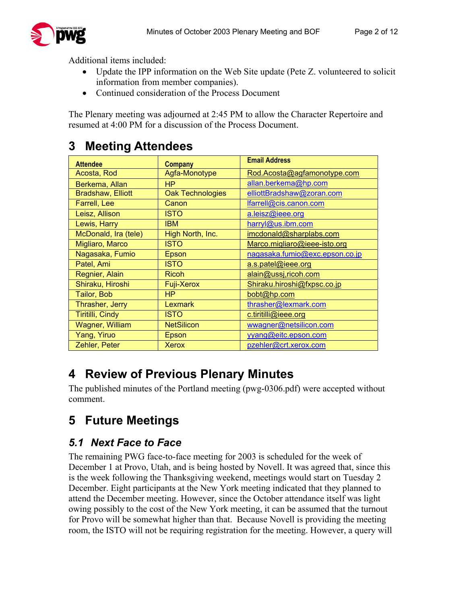

Additional items included:

- Update the IPP information on the Web Site update (Pete Z. volunteered to solicit information from member companies).
- Continued consideration of the Process Document

The Plenary meeting was adjourned at 2:45 PM to allow the Character Repertoire and resumed at 4:00 PM for a discussion of the Process Document.

## **3 Meeting Attendees**

| <b>Attendee</b>          | <b>Company</b>          | <b>Email Address</b>           |
|--------------------------|-------------------------|--------------------------------|
| Acosta, Rod              | Agfa-Monotype           | Rod.Acosta@agfamonotype.com    |
| Berkema, Allan           | <b>HP</b>               | allan.berkema@hp.com           |
| <b>Bradshaw, Elliott</b> | <b>Oak Technologies</b> | elliottBradshaw@zoran.com      |
| Farrell, Lee             | Canon                   | lfarrell@cis.canon.com         |
| Leisz, Allison           | <b>ISTO</b>             | a.leisz@ieee.org               |
| Lewis, Harry             | <b>IBM</b>              | harryl@us.ibm.com              |
| McDonald, Ira (tele)     | High North, Inc.        | imcdonald@sharplabs.com        |
| Migliaro, Marco          | <b>ISTO</b>             | Marco.migliaro@ieee-isto.org   |
| Nagasaka, Fumio          | Epson                   | nagasaka.fumio@exc.epson.co.jp |
| Patel, Ami               | <b>ISTO</b>             | a.s.patel@ieee.org             |
| Regnier, Alain           | <b>Ricoh</b>            | alain@ussj,ricoh.com           |
| Shiraku, Hiroshi         | <b>Fuji-Xerox</b>       | Shiraku.hiroshi@fxpsc.co.jp    |
| Tailor, Bob              | <b>HP</b>               | bobt@hp.com                    |
| Thrasher, Jerry          | Lexmark                 | thrasher@lexmark.com           |
| Tiritilli, Cindy         | ISTO                    | c.tiritilli@ieee.org           |
| <b>Wagner, William</b>   | <b>NetSilicon</b>       | wwagner@netsilicon.com         |
| Yang, Yiruo              | Epson                   | yyang@eitc.epson.com           |
| Zehler, Peter            | <b>Xerox</b>            | pzehler@crt.xerox.com          |

## **4 Review of Previous Plenary Minutes**

The published minutes of the Portland meeting (pwg-0306.pdf) were accepted without comment.

# **5 Future Meetings**

### *5.1 Next Face to Face*

The remaining PWG face-to-face meeting for 2003 is scheduled for the week of December 1 at Provo, Utah, and is being hosted by Novell. It was agreed that, since this is the week following the Thanksgiving weekend, meetings would start on Tuesday 2 December. Eight participants at the New York meeting indicated that they planned to attend the December meeting. However, since the October attendance itself was light owing possibly to the cost of the New York meeting, it can be assumed that the turnout for Provo will be somewhat higher than that. Because Novell is providing the meeting room, the ISTO will not be requiring registration for the meeting. However, a query will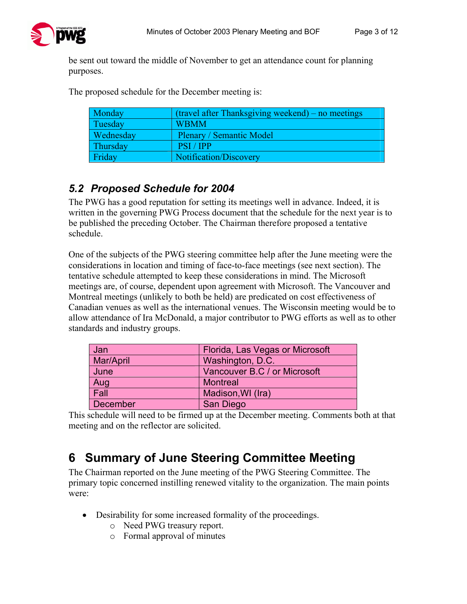be sent out toward the middle of November to get an attendance count for planning purposes.

The proposed schedule for the December meeting is:

| Monday    | $\int$ (travel after Thanksgiving weekend) – no meetings |
|-----------|----------------------------------------------------------|
| Tuesday   | <b>WBMM</b>                                              |
| Wednesday | <b>Plenary / Semantic Model</b>                          |
| Thursday  | <b>PSI</b> / <b>IPP</b>                                  |
| Friday    | Notification/Discovery                                   |

#### *5.2 Proposed Schedule for 2004*

The PWG has a good reputation for setting its meetings well in advance. Indeed, it is written in the governing PWG Process document that the schedule for the next year is to be published the preceding October. The Chairman therefore proposed a tentative schedule.

One of the subjects of the PWG steering committee help after the June meeting were the considerations in location and timing of face-to-face meetings (see next section). The tentative schedule attempted to keep these considerations in mind. The Microsoft meetings are, of course, dependent upon agreement with Microsoft. The Vancouver and Montreal meetings (unlikely to both be held) are predicated on cost effectiveness of Canadian venues as well as the international venues. The Wisconsin meeting would be to allow attendance of Ira McDonald, a major contributor to PWG efforts as well as to other standards and industry groups.

| Jan             | Florida, Las Vegas or Microsoft |  |
|-----------------|---------------------------------|--|
| Mar/April       | Washington, D.C.                |  |
| June            | Vancouver B.C / or Microsoft    |  |
| Aug             | <b>Montreal</b>                 |  |
| Fall            | Madison, WI (Ira)               |  |
| <b>December</b> | San Diego                       |  |

This schedule will need to be firmed up at the December meeting. Comments both at that meeting and on the reflector are solicited.

## **6 Summary of June Steering Committee Meeting**

The Chairman reported on the June meeting of the PWG Steering Committee. The primary topic concerned instilling renewed vitality to the organization. The main points were:

- Desirability for some increased formality of the proceedings.
	- o Need PWG treasury report.
	- o Formal approval of minutes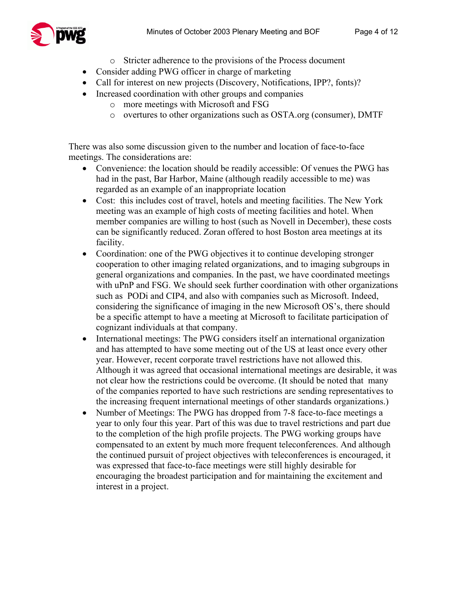

- o Stricter adherence to the provisions of the Process document
- Consider adding PWG officer in charge of marketing
- Call for interest on new projects (Discovery, Notifications, IPP?, fonts)?
- Increased coordination with other groups and companies
	- o more meetings with Microsoft and FSG
	- o overtures to other organizations such as OSTA.org (consumer), DMTF

There was also some discussion given to the number and location of face-to-face meetings. The considerations are:

- Convenience: the location should be readily accessible: Of venues the PWG has had in the past, Bar Harbor, Maine (although readily accessible to me) was regarded as an example of an inappropriate location
- Cost: this includes cost of travel, hotels and meeting facilities. The New York meeting was an example of high costs of meeting facilities and hotel. When member companies are willing to host (such as Novell in December), these costs can be significantly reduced. Zoran offered to host Boston area meetings at its facility.
- Coordination: one of the PWG objectives it to continue developing stronger cooperation to other imaging related organizations, and to imaging subgroups in general organizations and companies. In the past, we have coordinated meetings with uPnP and FSG. We should seek further coordination with other organizations such as PODi and CIP4, and also with companies such as Microsoft. Indeed, considering the significance of imaging in the new Microsoft OS's, there should be a specific attempt to have a meeting at Microsoft to facilitate participation of cognizant individuals at that company.
- International meetings: The PWG considers itself an international organization and has attempted to have some meeting out of the US at least once every other year. However, recent corporate travel restrictions have not allowed this. Although it was agreed that occasional international meetings are desirable, it was not clear how the restrictions could be overcome. (It should be noted that many of the companies reported to have such restrictions are sending representatives to the increasing frequent international meetings of other standards organizations.)
- Number of Meetings: The PWG has dropped from 7-8 face-to-face meetings a year to only four this year. Part of this was due to travel restrictions and part due to the completion of the high profile projects. The PWG working groups have compensated to an extent by much more frequent teleconferences. And although the continued pursuit of project objectives with teleconferences is encouraged, it was expressed that face-to-face meetings were still highly desirable for encouraging the broadest participation and for maintaining the excitement and interest in a project.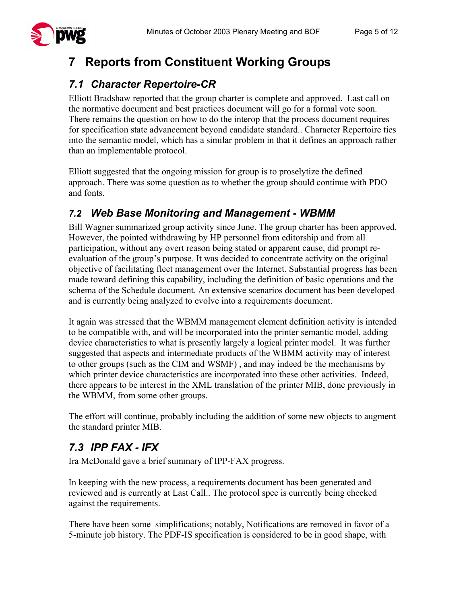# **7 Reports from Constituent Working Groups**

## *7.1 Character Repertoire-CR*

Elliott Bradshaw reported that the group charter is complete and approved. Last call on the normative document and best practices document will go for a formal vote soon. There remains the question on how to do the interop that the process document requires for specification state advancement beyond candidate standard.. Character Repertoire ties into the semantic model, which has a similar problem in that it defines an approach rather than an implementable protocol.

Elliott suggested that the ongoing mission for group is to proselytize the defined approach. There was some question as to whether the group should continue with PDO and fonts.

### *7.2 Web Base Monitoring and Management - WBMM*

Bill Wagner summarized group activity since June. The group charter has been approved. However, the pointed withdrawing by HP personnel from editorship and from all participation, without any overt reason being stated or apparent cause, did prompt reevaluation of the group's purpose. It was decided to concentrate activity on the original objective of facilitating fleet management over the Internet. Substantial progress has been made toward defining this capability, including the definition of basic operations and the schema of the Schedule document. An extensive scenarios document has been developed and is currently being analyzed to evolve into a requirements document.

It again was stressed that the WBMM management element definition activity is intended to be compatible with, and will be incorporated into the printer semantic model, adding device characteristics to what is presently largely a logical printer model. It was further suggested that aspects and intermediate products of the WBMM activity may of interest to other groups (such as the CIM and WSMF) , and may indeed be the mechanisms by which printer device characteristics are incorporated into these other activities. Indeed, there appears to be interest in the XML translation of the printer MIB, done previously in the WBMM, from some other groups.

The effort will continue, probably including the addition of some new objects to augment the standard printer MIB.

## *7.3 IPP FAX - IFX*

Ira McDonald gave a brief summary of IPP-FAX progress.

In keeping with the new process, a requirements document has been generated and reviewed and is currently at Last Call.. The protocol spec is currently being checked against the requirements.

There have been some simplifications; notably, Notifications are removed in favor of a 5-minute job history. The PDF-IS specification is considered to be in good shape, with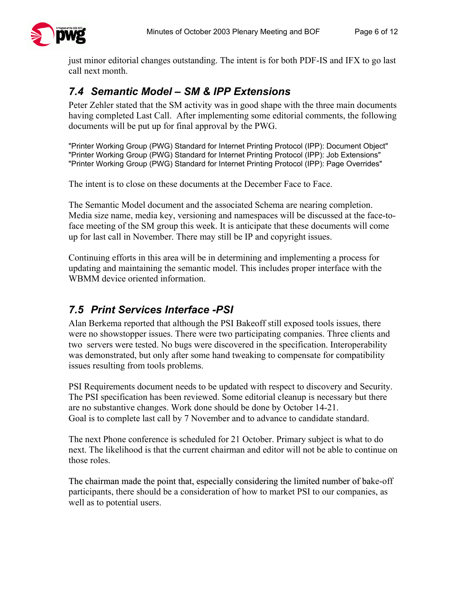just minor editorial changes outstanding. The intent is for both PDF-IS and IFX to go last call next month.

### *7.4 Semantic Model – SM & IPP Extensions*

Peter Zehler stated that the SM activity was in good shape with the three main documents having completed Last Call. After implementing some editorial comments, the following documents will be put up for final approval by the PWG.

"Printer Working Group (PWG) Standard for Internet Printing Protocol (IPP): Document Object" "Printer Working Group (PWG) Standard for Internet Printing Protocol (IPP): Job Extensions" "Printer Working Group (PWG) Standard for Internet Printing Protocol (IPP): Page Overrides"

The intent is to close on these documents at the December Face to Face.

The Semantic Model document and the associated Schema are nearing completion. Media size name, media key, versioning and namespaces will be discussed at the face-toface meeting of the SM group this week. It is anticipate that these documents will come up for last call in November. There may still be IP and copyright issues.

Continuing efforts in this area will be in determining and implementing a process for updating and maintaining the semantic model. This includes proper interface with the WBMM device oriented information.

#### *7.5 Print Services Interface -PSI*

Alan Berkema reported that although the PSI Bakeoff still exposed tools issues, there were no showstopper issues. There were two participating companies. Three clients and two servers were tested. No bugs were discovered in the specification. Interoperability was demonstrated, but only after some hand tweaking to compensate for compatibility issues resulting from tools problems.

PSI Requirements document needs to be updated with respect to discovery and Security. The PSI specification has been reviewed. Some editorial cleanup is necessary but there are no substantive changes. Work done should be done by October 14-21. Goal is to complete last call by 7 November and to advance to candidate standard.

The next Phone conference is scheduled for 21 October. Primary subject is what to do next. The likelihood is that the current chairman and editor will not be able to continue on those roles.

The chairman made the point that, especially considering the limited number of bake-off participants, there should be a consideration of how to market PSI to our companies, as well as to potential users.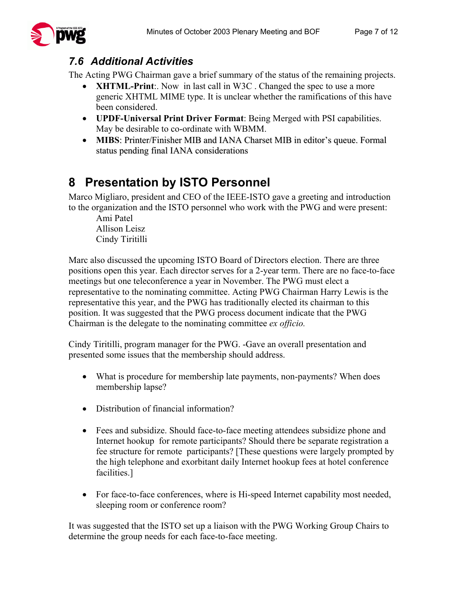#### *7.6 Additional Activities*

The Acting PWG Chairman gave a brief summary of the status of the remaining projects.

- **XHTML-Print**:. Now in last call in W3C. Changed the spec to use a more generic XHTML MIME type. It is unclear whether the ramifications of this have been considered.
- **UPDF-Universal Print Driver Format**: Being Merged with PSI capabilities. May be desirable to co-ordinate with WBMM.
- **MIBS**: Printer/Finisher MIB and IANA Charset MIB in editor's queue. Formal status pending final IANA considerations

## **8 Presentation by ISTO Personnel**

Marco Migliaro, president and CEO of the IEEE-ISTO gave a greeting and introduction to the organization and the ISTO personnel who work with the PWG and were present:

Ami Patel Allison Leisz Cindy Tiritilli

Marc also discussed the upcoming ISTO Board of Directors election. There are three positions open this year. Each director serves for a 2-year term. There are no face-to-face meetings but one teleconference a year in November. The PWG must elect a representative to the nominating committee. Acting PWG Chairman Harry Lewis is the representative this year, and the PWG has traditionally elected its chairman to this position. It was suggested that the PWG process document indicate that the PWG Chairman is the delegate to the nominating committee *ex officio.* 

Cindy Tiritilli, program manager for the PWG. -Gave an overall presentation and presented some issues that the membership should address.

- What is procedure for membership late payments, non-payments? When does membership lapse?
- Distribution of financial information?
- Fees and subsidize. Should face-to-face meeting attendees subsidize phone and Internet hookup for remote participants? Should there be separate registration a fee structure for remote participants? [These questions were largely prompted by the high telephone and exorbitant daily Internet hookup fees at hotel conference facilities.]
- For face-to-face conferences, where is Hi-speed Internet capability most needed, sleeping room or conference room?

It was suggested that the ISTO set up a liaison with the PWG Working Group Chairs to determine the group needs for each face-to-face meeting.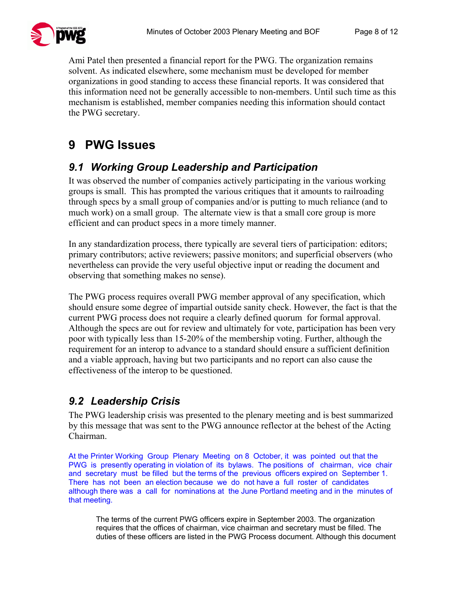

Ami Patel then presented a financial report for the PWG. The organization remains solvent. As indicated elsewhere, some mechanism must be developed for member organizations in good standing to access these financial reports. It was considered that this information need not be generally accessible to non-members. Until such time as this mechanism is established, member companies needing this information should contact the PWG secretary.

# **9 PWG Issues**

#### *9.1 Working Group Leadership and Participation*

It was observed the number of companies actively participating in the various working groups is small. This has prompted the various critiques that it amounts to railroading through specs by a small group of companies and/or is putting to much reliance (and to much work) on a small group. The alternate view is that a small core group is more efficient and can product specs in a more timely manner.

In any standardization process, there typically are several tiers of participation: editors; primary contributors; active reviewers; passive monitors; and superficial observers (who nevertheless can provide the very useful objective input or reading the document and observing that something makes no sense).

The PWG process requires overall PWG member approval of any specification, which should ensure some degree of impartial outside sanity check. However, the fact is that the current PWG process does not require a clearly defined quorum for formal approval. Although the specs are out for review and ultimately for vote, participation has been very poor with typically less than 15-20% of the membership voting. Further, although the requirement for an interop to advance to a standard should ensure a sufficient definition and a viable approach, having but two participants and no report can also cause the effectiveness of the interop to be questioned.

### *9.2 Leadership Crisis*

The PWG leadership crisis was presented to the plenary meeting and is best summarized by this message that was sent to the PWG announce reflector at the behest of the Acting Chairman.

At the Printer Working Group Plenary Meeting on 8 October, it was pointed out that the PWG is presently operating in violation of its bylaws. The positions of chairman, vice chair and secretary must be filled but the terms of the previous officers expired on September 1. There has not been an election because we do not have a full roster of candidates although there was a call for nominations at the June Portland meeting and in the minutes of that meeting.

The terms of the current PWG officers expire in September 2003. The organization requires that the offices of chairman, vice chairman and secretary must be filled. The duties of these officers are listed in the PWG Process document. Although this document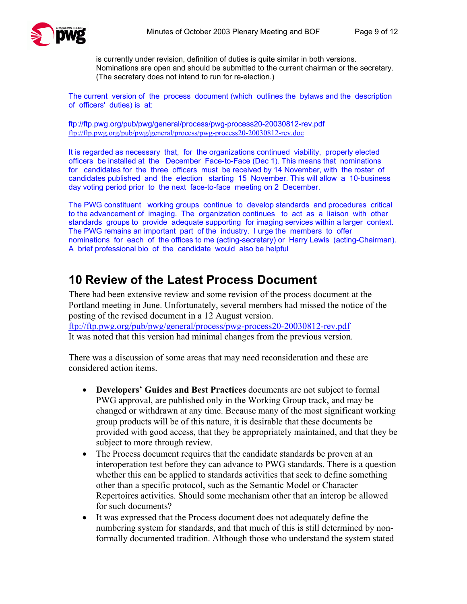

is currently under revision, definition of duties is quite similar in both versions. Nominations are open and should be submitted to the current chairman or the secretary. (The secretary does not intend to run for re-election.)

The current version of the process document (which outlines the bylaws and the description of officers' duties) is at:

ftp://ftp.pwg.org/pub/pwg/general/process/pwg-process20-20030812-rev.pdf ftp://ftp.pwg.org/pub/pwg/general/process/pwg-process20-20030812-rev.doc

It is regarded as necessary that, for the organizations continued viability, properly elected officers be installed at the December Face-to-Face (Dec 1). This means that nominations for candidates for the three officers must be received by 14 November, with the roster of candidates published and the election starting 15 November. This will allow a 10-business day voting period prior to the next face-to-face meeting on 2 December.

The PWG constituent working groups continue to develop standards and procedures critical to the advancement of imaging. The organization continues to act as a liaison with other standards groups to provide adequate supporting for imaging services within a larger context. The PWG remains an important part of the industry. I urge the members to offer nominations for each of the offices to me (acting-secretary) or Harry Lewis (acting-Chairman). A brief professional bio of the candidate would also be helpful

### **10 Review of the Latest Process Document**

There had been extensive review and some revision of the process document at the Portland meeting in June. Unfortunately, several members had missed the notice of the posting of the revised document in a 12 August version. ftp://ftp.pwg.org/pub/pwg/general/process/pwg-process20-20030812-rev.pdf It was noted that this version had minimal changes from the previous version.

There was a discussion of some areas that may need reconsideration and these are considered action items.

- **Developers' Guides and Best Practices** documents are not subject to formal PWG approval, are published only in the Working Group track, and may be changed or withdrawn at any time. Because many of the most significant working group products will be of this nature, it is desirable that these documents be provided with good access, that they be appropriately maintained, and that they be subject to more through review.
- The Process document requires that the candidate standards be proven at an interoperation test before they can advance to PWG standards. There is a question whether this can be applied to standards activities that seek to define something other than a specific protocol, such as the Semantic Model or Character Repertoires activities. Should some mechanism other that an interop be allowed for such documents?
- It was expressed that the Process document does not adequately define the numbering system for standards, and that much of this is still determined by nonformally documented tradition. Although those who understand the system stated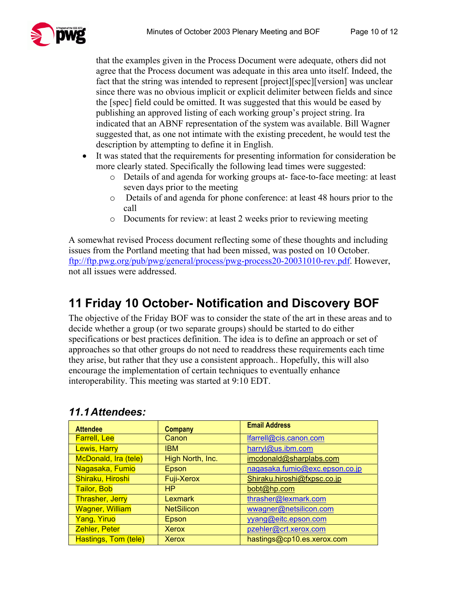that the examples given in the Process Document were adequate, others did not agree that the Process document was adequate in this area unto itself. Indeed, the fact that the string was intended to represent [project][spec][version] was unclear since there was no obvious implicit or explicit delimiter between fields and since the [spec] field could be omitted. It was suggested that this would be eased by publishing an approved listing of each working group's project string. Ira indicated that an ABNF representation of the system was available. Bill Wagner suggested that, as one not intimate with the existing precedent, he would test the description by attempting to define it in English.

- It was stated that the requirements for presenting information for consideration be more clearly stated. Specifically the following lead times were suggested:
	- o Details of and agenda for working groups at- face-to-face meeting: at least seven days prior to the meeting
	- o Details of and agenda for phone conference: at least 48 hours prior to the call
	- o Documents for review: at least 2 weeks prior to reviewing meeting

A somewhat revised Process document reflecting some of these thoughts and including issues from the Portland meeting that had been missed, was posted on 10 October. ftp://ftp.pwg.org/pub/pwg/general/process/pwg-process20-20031010-rev.pdf. However, not all issues were addressed.

## **11 Friday 10 October- Notification and Discovery BOF**

The objective of the Friday BOF was to consider the state of the art in these areas and to decide whether a group (or two separate groups) should be started to do either specifications or best practices definition. The idea is to define an approach or set of approaches so that other groups do not need to readdress these requirements each time they arise, but rather that they use a consistent approach.. Hopefully, this will also encourage the implementation of certain techniques to eventually enhance interoperability. This meeting was started at 9:10 EDT.

| <b>Attendee</b>        | <b>Company</b>    | <b>Email Address</b>           |
|------------------------|-------------------|--------------------------------|
| <b>Farrell, Lee</b>    | Canon             | lfarrell@cis.canon.com         |
| <b>Lewis, Harry</b>    | <b>IBM</b>        | harryl@us.ibm.com              |
| McDonald, Ira (tele)   | High North, Inc.  | imcdonald@sharplabs.com        |
| Nagasaka, Fumio        | Epson             | nagasaka.fumio@exc.epson.co.jp |
| Shiraku, Hiroshi       | <b>Fuji-Xerox</b> | Shiraku.hiroshi@fxpsc.co.jp    |
| <b>Tailor, Bob</b>     | HP                | bobt@hp.com                    |
| <b>Thrasher, Jerry</b> | <b>Lexmark</b>    | thrasher@lexmark.com           |
| <b>Wagner, William</b> | <b>NetSilicon</b> | wwagner@netsilicon.com         |
| <b>Yang, Yiruo</b>     | Epson             | yyang@eitc.epson.com           |
| <b>Zehler, Peter</b>   | <b>Xerox</b>      | pzehler@crt.xerox.com          |
| Hastings, Tom (tele)   | Xerox             | hastings@cp10.es.xerox.com     |

#### *11.1 Attendees:*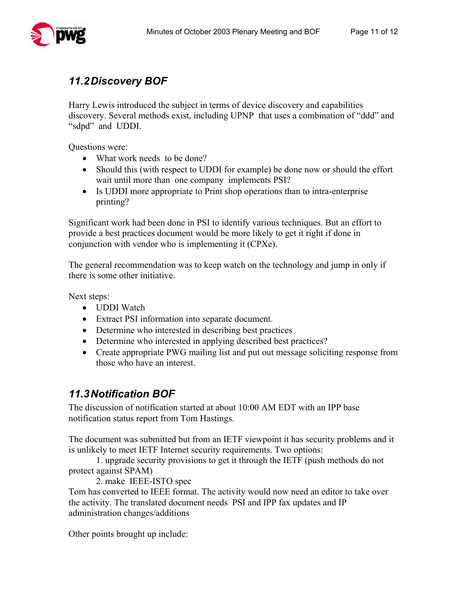Harry Lewis introduced the subject in terms of device discovery and capabilities discovery. Several methods exist, including UPNP that uses a combination of "ddd" and "sdpd" and UDDI.

Questions were:

- What work needs to be done?
- Should this (with respect to UDDI for example) be done now or should the effort wait until more than one company implements PSI?
- Is UDDI more appropriate to Print shop operations than to intra-enterprise printing?

Significant work had been done in PSI to identify various techniques. But an effort to provide a best practices document would be more likely to get it right if done in conjunction with vendor who is implementing it (CPXe).

The general recommendation was to keep watch on the technology and jump in only if there is some other initiative.

Next steps:

- UDDI Watch
- Extract PSI information into separate document.
- Determine who interested in describing best practices
- Determine who interested in applying described best practices?
- Create appropriate PWG mailing list and put out message soliciting response from those who have an interest.

### *11.3 Notification BOF*

The discussion of notification started at about 10:00 AM EDT with an IPP base notification status report from Tom Hastings.

The document was submitted but from an IETF viewpoint it has security problems and it is unlikely to meet IETF Internet security requirements. Two options:

 1. upgrade security provisions to get it through the IETF (push methods do not protect against SPAM)

2. make IEEE-ISTO spec

Tom has converted to IEEE format. The activity would now need an editor to take over the activity. The translated document needs PSI and IPP fax updates and IP administration changes/additions

Other points brought up include: